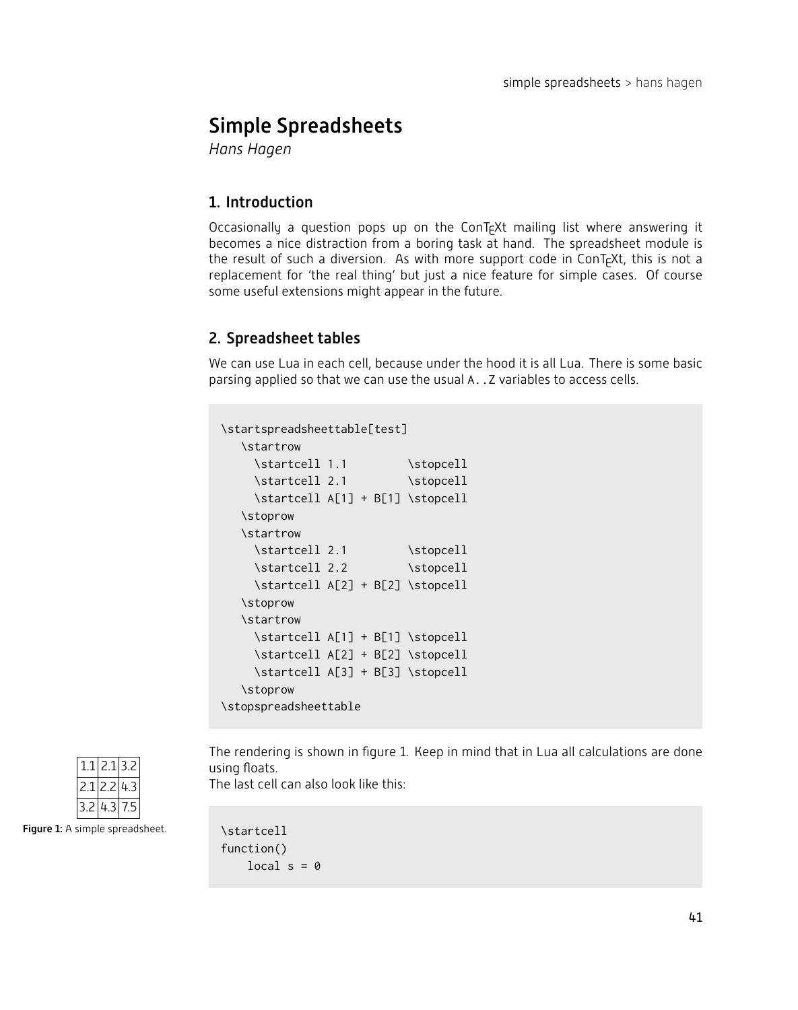# Simple Spreadsheets

**Hans Hagen** 

# 1. Introduction

Occasionally a question pops up on the ConT<sub>F</sub>Xt mailing list where answering it becomes a nice distraction from a boring task at hand. The spreadsheet module is the result of such a diversion. As with more support code in ConT<sub>E</sub>Xt, this is not a replacement for 'the real thing' but just a nice feature for simple cases. Of course some useful extensions might appear in the future.

# 2. Spreadsheet tables

We can use Lua in each cell, because under the hood it is all Lua. There is some basic parsing applied so that we can use the usual A. . Z variables to access cells.

```
\startspreadsheettable[test]
  \startrow
    \startcell 1.1 \stopcell
    \startcell 2.1 \stopcell
    \startcell A[1] + B[1] \stopcell
  \stoprow
  \startrow
    \startcell 2.1 \stopcell
    \startcell 2.2 \stopcell
    \startcell A[2] + B[2] \stopcell
  \stoprow
  \startrow
    \startcell A[1] + B[1] \stopcell
    \startcell A[2] + B[2] \stopcell
    \startcell A[3] + B[3] \stopcell
  \stoprow
\stopspreadsheettable
```


The rendering is shown in figure 1. Keep in mind that in Lua all calculations are done using floats.

The last cell can also look like this:

\startcell function() local  $s = 0$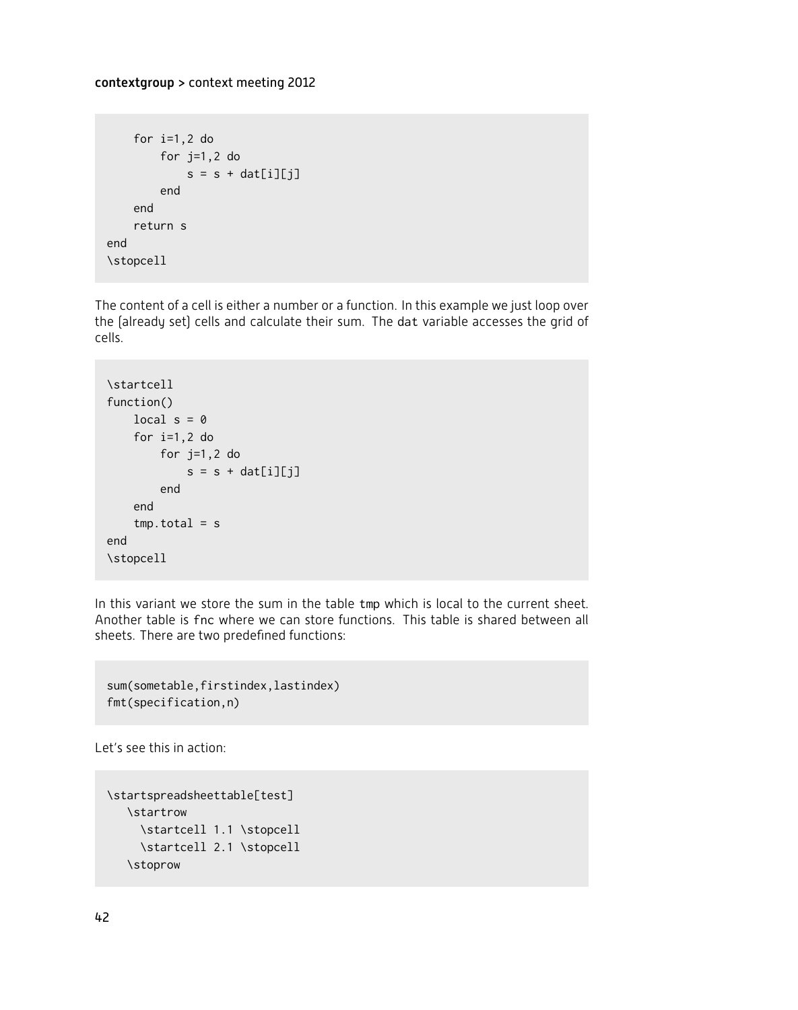```
for i=1,2 do
        for j=1,2 do
           s = s + dat[i][j]end
    end
    return s
end
\stopcell
```
The content of a cell is either a number or a function. In this example we just loop over the (already set) cells and calculate their sum. The dat variable accesses the grid of cells.

```
\startcell
function()
   local s = 0for i=1,2 do
       for j=1,2 do
           s = s + dat[i][j]end
    end
    tmp.total = send
\stopcell
```
In this variant we store the sum in the table tmp which is local to the current sheet. Another table is fnc where we can store functions. This table is shared between all sheets. There are two predefined functions:

```
sum(sometable,firstindex,lastindex)
fmt(specification,n)
```
Let's see this in action:

```
\startspreadsheettable[test]
  \startrow
     \startcell 1.1 \stopcell
    \startcell 2.1 \stopcell
   \stoprow
```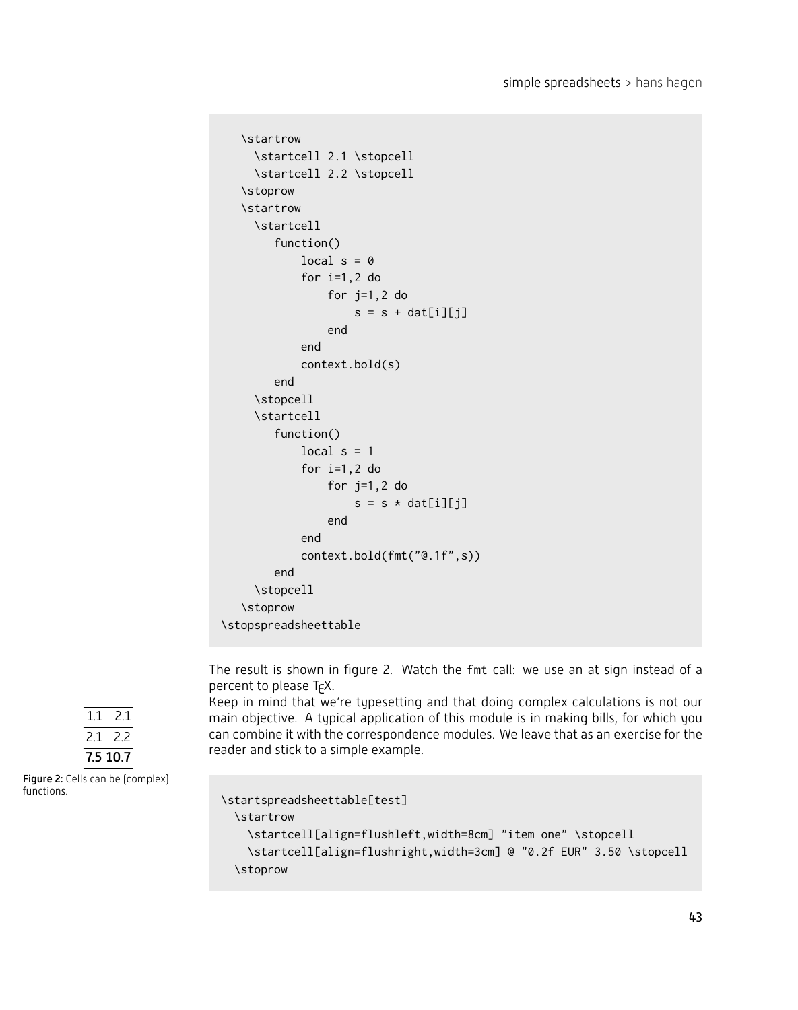```
\startrow
     \startcell 2.1 \stopcell
     \startcell 2.2 \stopcell
  \stoprow
   \startrow
     \startcell
        function()
            local s = 0for i=1,2 do
                for j=1,2 do
                    s = s + dat[i][j]
                end
            end
            context.bold(s)
        end
     \stopcell
     \startcell
        function()
            local s = 1for i=1,2 do
                for j=1,2 do
                    s = s * dat[i][j]end
            end
            context.bold(fmt("@.1f",s))
        end
     \stopcell
   \stoprow
\stopspreadsheettable
```
The result is shown in figure 2. Watch the fmt call: we use an at sign instead of a percent to please  $T_FX$ .

Keep in mind that we're typesetting and that doing complex calculations is not our main objective. A typical application of this module is in making bills, for which you can combine it with the correspondence modules. We leave that as an exercise for the reader and stick to a simple example.

```
\startspreadsheettable[test]
 \startrow
   \startcell[align=flushleft,width=8cm] "item one" \stopcell
   \startcell[align=flushright,width=3cm] @ "0.2f EUR" 3.50 \stopcell
 \stoprow
```


Figure 2: Cells can be (complex) functions.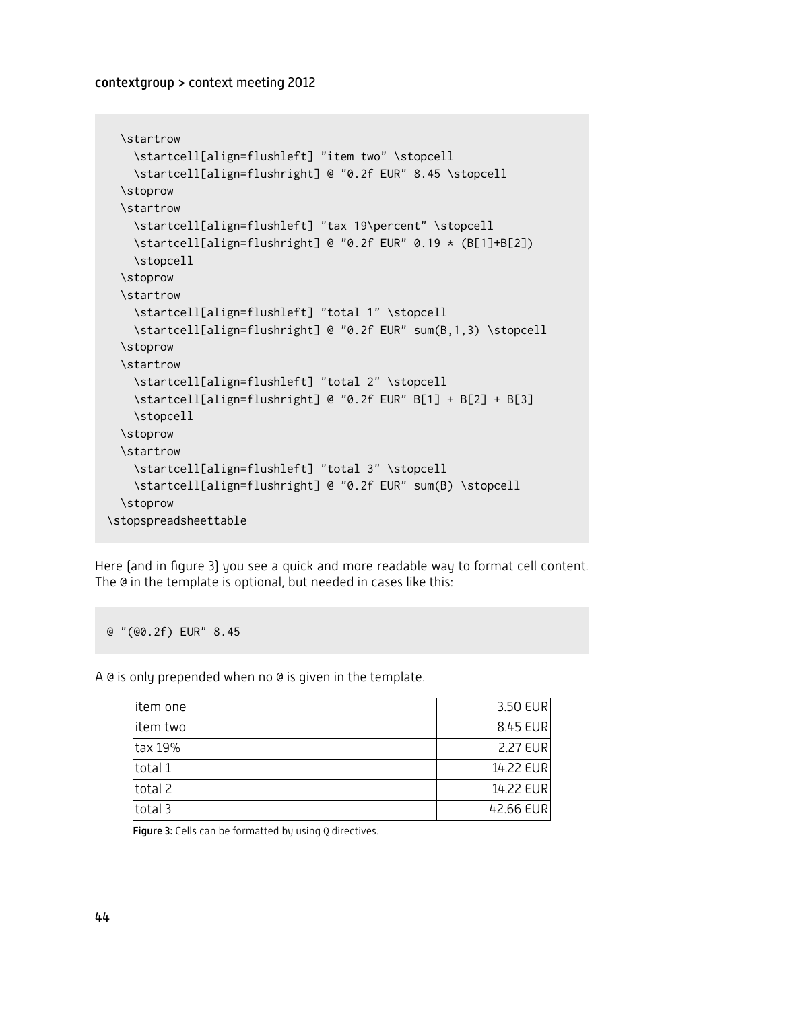```
\startrow
   \startcell[align=flushleft] "item two" \stopcell
   \startcell[align=flushright] @ "0.2f EUR" 8.45 \stopcell
 \stoprow
 \startrow
   \startcell[align=flushleft] "tax 19\percent" \stopcell
   \startcell[align=flushright] @ "0.2f EUR" 0.19 * (B[1]+B[2])
   \stopcell
 \stoprow
 \startrow
   \startcell[align=flushleft] "total 1" \stopcell
   \startcell[align=flushright] @ "0.2f EUR" sum(B,1,3) \stopcell
 \stoprow
 \startrow
   \startcell[align=flushleft] "total 2" \stopcell
   \startcell[align=flushright] @ "0.2f EUR" B[1] + B[2] + B[3]
   \stopcell
 \stoprow
 \startrow
   \startcell[align=flushleft] "total 3" \stopcell
   \startcell[align=flushright] @ "0.2f EUR" sum(B) \stopcell
 \stoprow
\stopspreadsheettable
```
Here (and in figure 3) you see a quick and more readable way to format cell content. The @ in the template is optional, but needed in cases like this:

@ "(@0.2f) EUR" 8.45

A @ is only prepended when no @ is given in the template.

| litem one | 3.50 EUR  |
|-----------|-----------|
| item two  | 8.45 EUR  |
| ltax 19%  | 2.27 EUR  |
| total 1   | 14.22 EUR |
| total 2   | 14.22 EUR |
| total 3   | 42.66 EUR |

Figure 3: Cells can be formatted by using  $Q$  directives.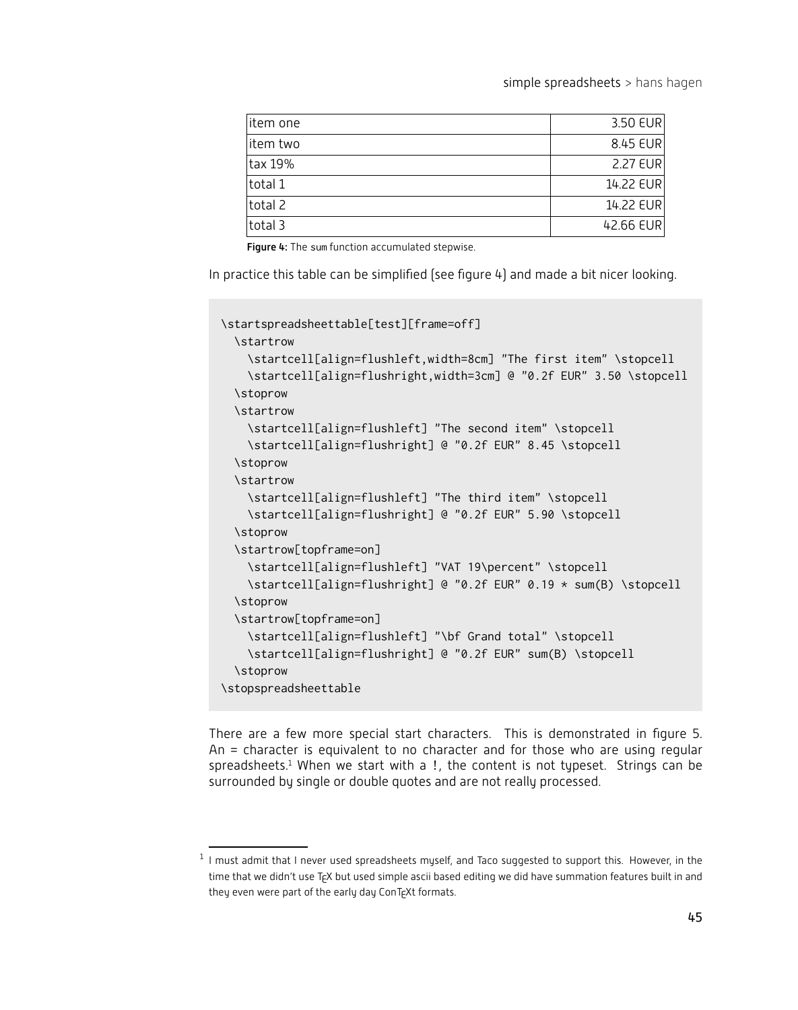simple spreadsheets  $>$  hans hagen

| litem one | 3.50 EUR  |
|-----------|-----------|
| litem two | 8.45 EUR  |
| tax 19%   | 2.27 EUR  |
| total 1   | 14.22 EUR |
| total 2   | 14.22 EUR |
| total 3   | 42.66 EUR |

Figure 4: The sum function accumulated stepwise.

In practice this table can be simplified (see figure 4) and made a bit nicer looking.

```
\startspreadsheettable[test][frame=off]
  \startrow
    \startcell[align=flushleft,width=8cm] "The first item" \stopcell
    \startcell[align=flushright,width=3cm] @ "0.2f EUR" 3.50 \stopcell
  \stoprow
  \startrow
    \startcell[align=flushleft] "The second item" \stopcell
    \startcell[align=flushright] @ "0.2f EUR" 8.45 \stopcell
  \stoprow
  \startrow
    \startcell[align=flushleft] "The third item" \stopcell
    \startcell[align=flushright] @ "0.2f EUR" 5.90 \stopcell
  \stoprow
  \startrow[topframe=on]
    \startcell[align=flushleft] "VAT 19\percent" \stopcell
    \startcell[align=flushright] @ "0.2f EUR" 0.19 * sum(B) \stopcell
  \stoprow
  \startrow[topframe=on]
    \startcell[align=flushleft] "\bf Grand total" \stopcell
    \startcell[align=flushright] @ "0.2f EUR" sum(B) \stopcell
  \stoprow
\stopspreadsheettable
```
There are a few more special start characters. This is demonstrated in figure 5. An = character is equivalent to no character and for those who are using regular spreadsheets.<sup>1</sup> When we start with a !, the content is not typeset. Strings can be surrounded by single or double quotes and are not really processed.

 $^1$  I must admit that I never used spreadsheets myself, and Taco suggested to support this. However, in the time that we didn't use T<sub>E</sub>X but used simple ascii based editing we did have summation features built in and they even were part of the early day ConTEXt formats.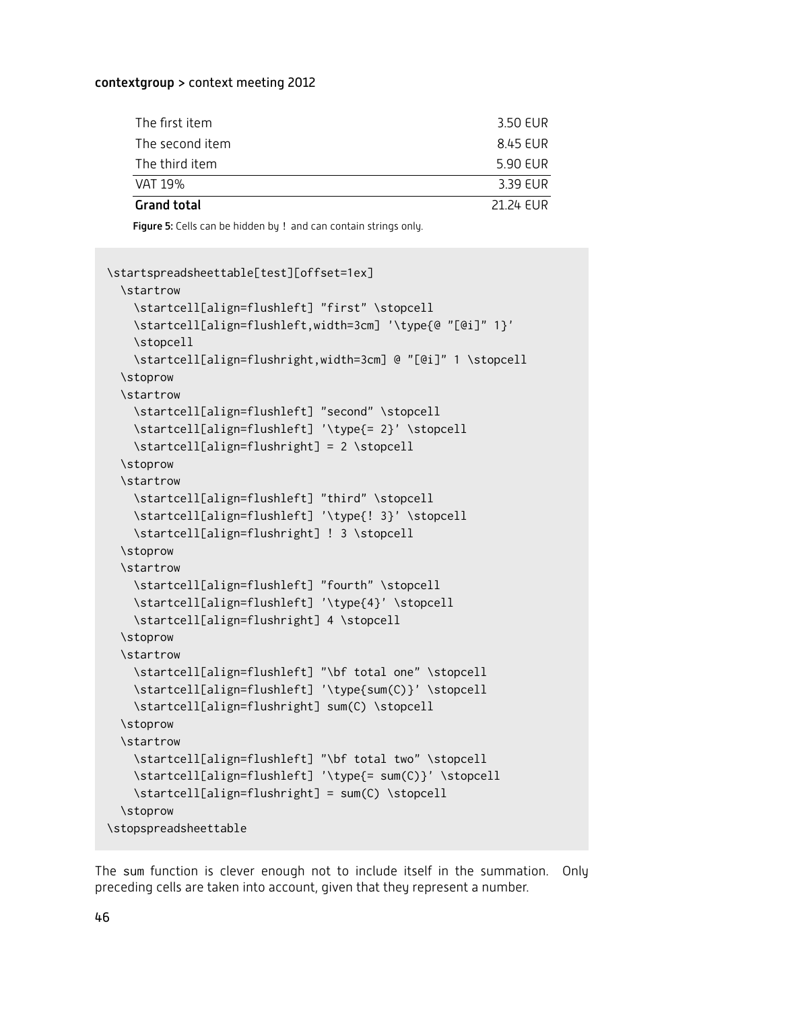| The first item     | 3.50 EUR  |
|--------------------|-----------|
| The second item    | 8.45 EUR  |
| The third item     | 5.90 EUR  |
| VAT 19%            | 3.39 EUR  |
| <b>Grand total</b> | 21.24 FUR |

Figure 5: Cells can be hidden by ! and can contain strings only.

```
\startspreadsheettable[test][offset=1ex]
 \startrow
   \startcell[align=flushleft] "first" \stopcell
   \startcell[align=flushleft,width=3cm] '\type{@ "[@i]" 1}'
   \stopcell
   \startcell[align=flushright,width=3cm] @ "[@i]" 1 \stopcell
 \stoprow
 \startrow
   \startcell[align=flushleft] "second" \stopcell
   \startcell[align=flushleft] '\type{= 2}' \stopcell
   \startcell[align=flushright] = 2 \stopcell
 \stoprow
 \startrow
   \startcell[align=flushleft] "third" \stopcell
   \startcell[align=flushleft] '\type{! 3}' \stopcell
   \startcell[align=flushright] ! 3 \stopcell
 \stoprow
 \startrow
   \startcell[align=flushleft] "fourth" \stopcell
   \startcell[align=flushleft] '\type{4}' \stopcell
   \startcell[align=flushright] 4 \stopcell
 \stoprow
 \startrow
   \startcell[align=flushleft] "\bf total one" \stopcell
   \startcell[align=flushleft] '\type{sum(C)}' \stopcell
   \startcell[align=flushright] sum(C) \stopcell
 \stoprow
 \startrow
   \startcell[align=flushleft] "\bf total two" \stopcell
   \startcell[align=flushleft] '\type{= sum(C)}' \stopcell
   \startcell[align=flushright] = sum(C) \stopcell
 \stoprow
\stopspreadsheettable
```
The sum function is clever enough not to include itself in the summation. Only preceding cells are taken into account, given that they represent a number.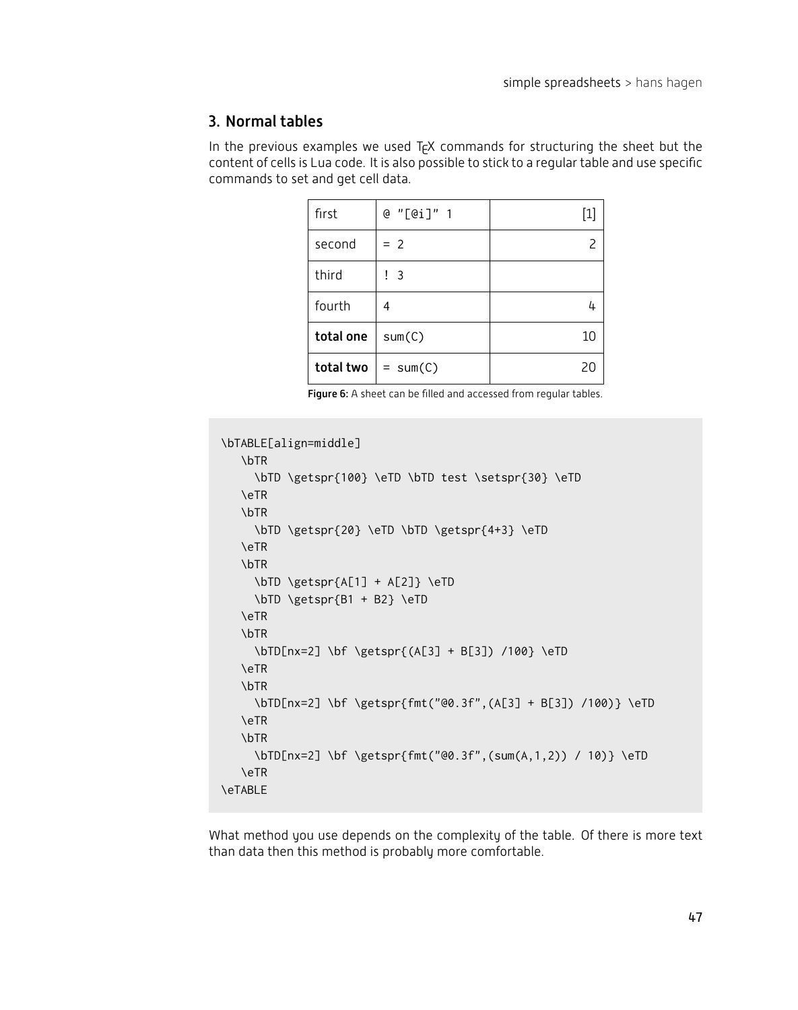## 3. Normal tables

In the previous examples we used  $T_fX$  commands for structuring the sheet but the content of cells is Lua code. It is also possible to stick to a regular table and use specific commands to set and get cell data.

| first     | @ "[@i]" 1 | $\left[1\right]$ |
|-----------|------------|------------------|
| second    | $= 2$      |                  |
| third     | -3         |                  |
| fourth    | 4          | 4                |
| total one | sum(C)     | 10               |
| total two | $= sum(C)$ | 20               |

Figure 6: A sheet can be filled and accessed from regular tables.

```
\bTABLE[align=middle]
  \bTR
     \bTD \getspr{100} \eTD \bTD test \setspr{30} \eTD
   \eTR
   \bTR
    \bTD \getspr{20} \eTD \bTD \getspr{4+3} \eTD
   \eTR
   \bTR
    \bTD \getspr{A[1] + A[2]} \eTD
    \bTD \getspr{B1 + B2} \eTD
   \eTR
   \bTR
     \bTD[nx=2] \bf \getspr{(A[3] + B[3]) /100} \eTD
   \eTR
   \bTR
     \bTD[nx=2] \bf \getspr{fmt("@0.3f",(A[3] + B[3]) /100)} \eTD
   \eTR
   \bTR
     \bTD[nx=2] \bf \getspr{fmt("@0.3f",(sum(A,1,2)) / 10)} \eTD
   \eTR
\eTABLE
```
What method you use depends on the complexity of the table. Of there is more text than data then this method is probably more comfortable.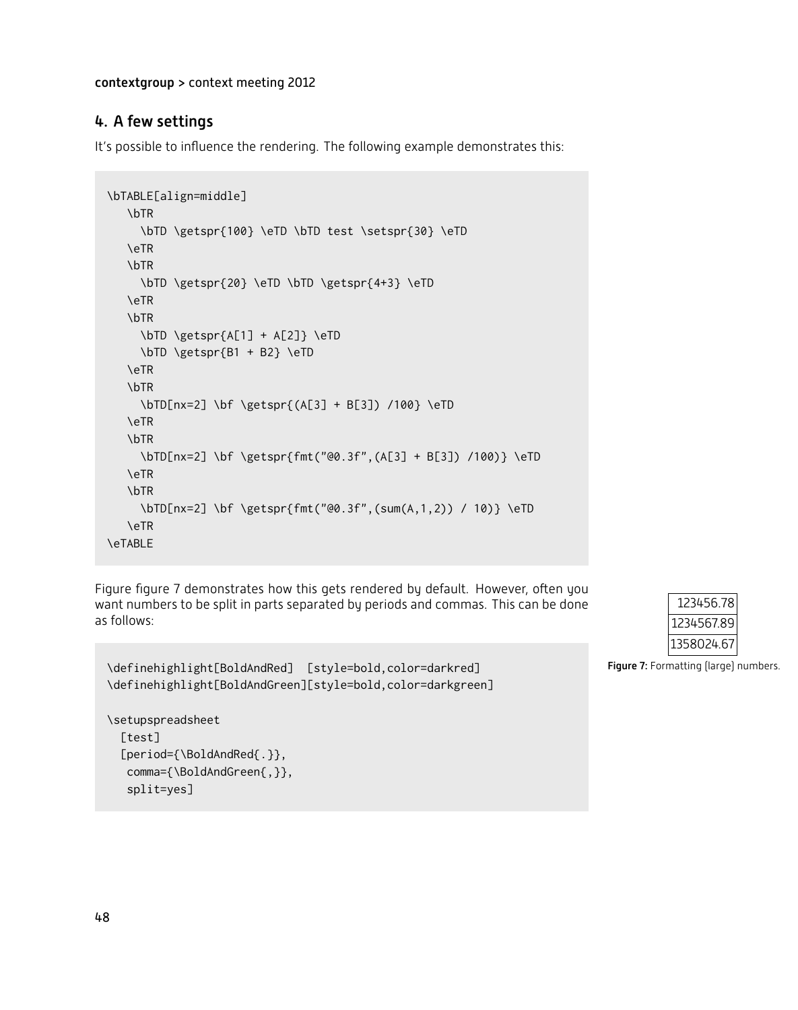## 4. A few settings

It's possible to influence the rendering. The following example demonstrates this:

```
\bTABLE[align=middle]
  \bTR
    \bTD \getspr{100} \eTD \bTD test \setspr{30} \eTD
   \eTR
   \bTR
     \bTD \getspr{20} \eTD \bTD \getspr{4+3} \eTD
   \eTR
  \bTR
    \bTD \getspr{A[1] + A[2]} \eTD
    \bTD \getspr{B1 + B2} \eTD
   \eTR
  \bTR
     \bTD[nx=2] \bf \getspr{(A[3] + B[3]) /100} \eTD
   \eTR
  \bTR
     \bTD[nx=2] \bf \getspr{fmt("@0.3f",(A[3] + B[3]) /100)} \eTD
   \eTR
   \bTR
    \bTD[nx=2] \bf \getspr{fmt("@0.3f",(sum(A,1,2)) / 10)} \eTD
  \eTR
\eTABLE
```
Figure figure 7 demonstrates how this gets rendered by default. However, often you want numbers to be split in parts separated by periods and commas. This can be done as follows:

```
\definehighlight[BoldAndRed] [style=bold,color=darkred]
\definehighlight[BoldAndGreen][style=bold,color=darkgreen]
```

```
\setupspreadsheet
  [test]
  [period={\BoldAndRed{.}},
  comma={\BoldAndGreen{,}},
  split=yes]
```


Figure 7: Formatting (large) numbers.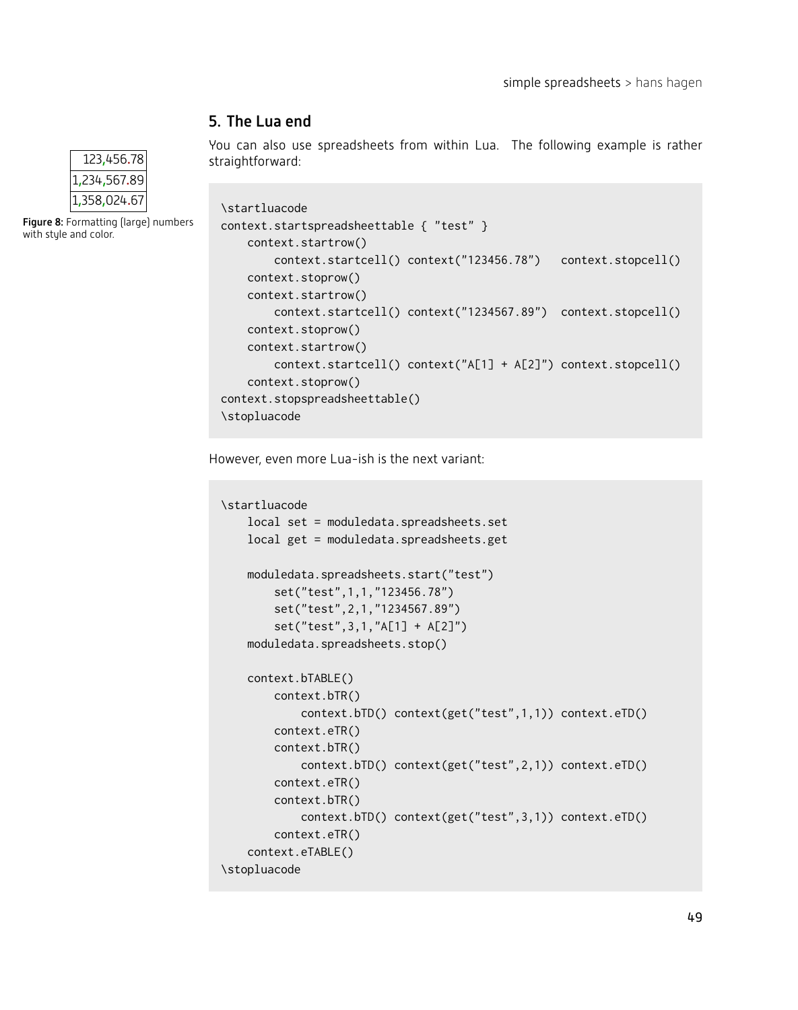## 5. The Lua end

You can also use spreadsheets from within Lua. The following example is rather straightforward:

```
\startluacode
context.startspreadsheettable { "test" }
    context.startrow()
        context.startcell() context("123456.78") context.stopcell()
   context.stoprow()
    context.startrow()
        context.startcell() context("1234567.89") context.stopcell()
   context.stoprow()
   context.startrow()
        context.startcell() context("A[1] + A[2]") context.stopcell()
   context.stoprow()
context.stopspreadsheettable()
\stopluacode
```
However, even more Lua-ish is the next variant:

```
\startluacode
   local set = moduledata.spreadsheets.set
   local get = moduledata.spreadsheets.get
   moduledata.spreadsheets.start("test")
        set("test",1,1,"123456.78")
        set("test",2,1,"1234567.89")
        set("test",3,1,"A[1] + A[2]")
   moduledata.spreadsheets.stop()
    context.bTABLE()
        context.bTR()
            context.bTD() context(get("test",1,1)) context.eTD()
        context.eTR()
        context.bTR()
            context.bTD() context(get("test",2,1)) context.eTD()
        context.eTR()
        context.bTR()
            context.bTD() context(get("test",3,1)) context.eTD()
        context.eTR()
   context.eTABLE()
\stopluacode
```


```
Figure 8: Formatting (large) numbers
with style and color.
```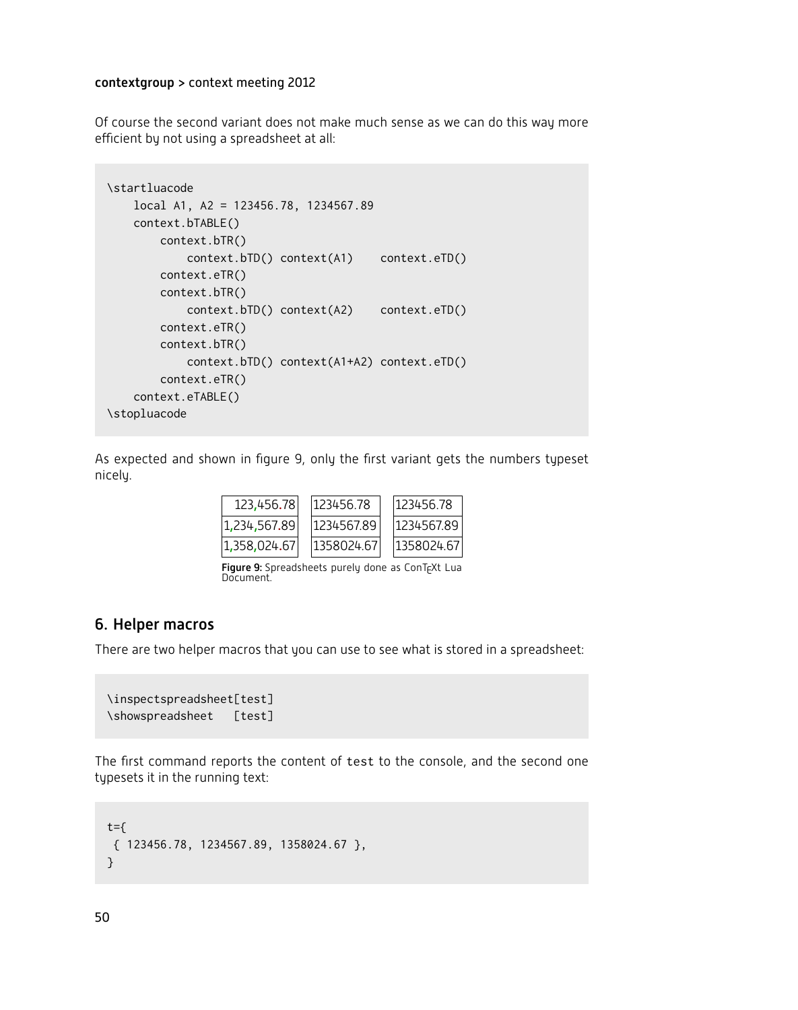Of course the second variant does not make much sense as we can do this way more efficient by not using a spreadsheet at all:

```
\startluacode
   local A1, A2 = 123456.78, 1234567.89
   context.bTABLE()
       context.bTR()
           context.bTD() context(A1) context.eTD()
       context.eTR()
       context.bTR()
           context.bTD() context(A2) context.eTD()
       context.eTR()
       context.bTR()
           context.bTD() context(A1+A2) context.eTD()
       context.eTR()
   context.eTABLE()
\stopluacode
```
As expected and shown in figure 9, only the first variant gets the numbers typeset nicely.

| 123,456.781  |            | 123456.78  |  | 123456.78  |
|--------------|------------|------------|--|------------|
| 1,234,567.89 | 1234567.89 |            |  | 1234567.89 |
| 1,358,024.67 |            | 1358024.67 |  | 1358024.67 |

Figure 9: Spreadsheets purely done as ConTEXt Lua Document.

#### 6. Helper macros

There are two helper macros that you can use to see what is stored in a spreadsheet:

```
\inspectspreadsheet[test]
\showspreadsheet [test]
```
The first command reports the content of test to the console, and the second one typesets it in the running text:

```
t = \{{ 123456.78, 1234567.89, 1358024.67 },
}
```